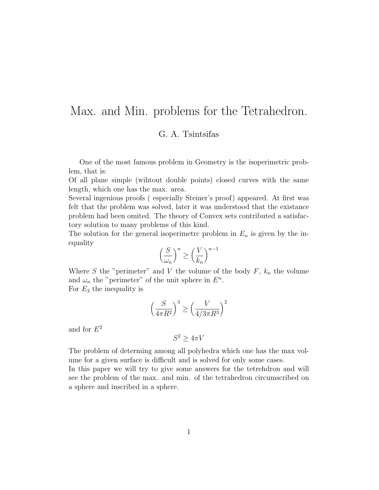# Max. and Min. problems for the Tetrahedron.

# G. A. Tsintsifas

One of the most famous problem in Geometry is the isoperimetric problem, that is:

Of all plane simple (wihtout double points) closed curves with the same length, which one has the max. area.

Several ingenious proofs ( especially Steiner's proof) appeared. At first was felt that the problem was solved, later it was understood that the existance problem had been omited. The theory of Convex sets contributed a satisfactory solution to many problems of this kind.

The solution for the general isoperimetric problem in  $E_n$  is given by the inequality n−<sup>1</sup>

$$
\left(\frac{S}{\omega_n}\right)^n \ge \left(\frac{V}{k_n}\right)^{n-1}
$$

Where S the "perimeter" and V the volume of the body  $F$ ,  $k_n$  the volume and  $\omega_n$  the "perimeter" of the unit sphere in  $E^n$ . For  $E_3$  the inequality is

$$
\left(\frac{S}{4\pi R^2}\right)^3 \ge \left(\frac{V}{4/3\pi R^3}\right)^2
$$

and for  $E^2$ 

$$
S^2 \ge 4\pi V
$$

The problem of determing among all polyhedra which one has the max volume for a given surface is difficult and is solved for only some cases.

In this paper we will try to give some answers for the tetrehdron and will see the problem of the max. and min. of the tetrahedron circumscribed on a sphere and inscribed in a sphere.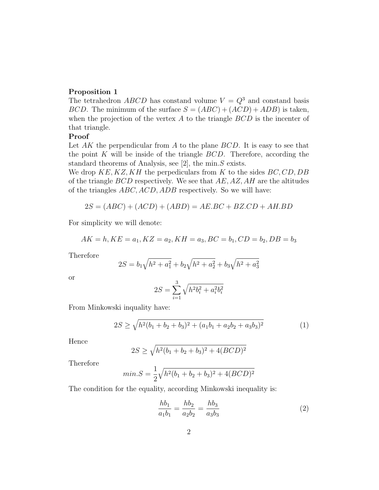# Proposition 1

The tetrahedron *ABCD* has constand volume  $V = Q^3$  and constand basis BCD. The minimum of the surface  $S = (ABC) + (ACD) + ADB$  is taken, when the projection of the vertex  $A$  to the triangle  $BCD$  is the incenter of that triangle.

# Proof

Let  $AK$  the perpendicular from  $A$  to the plane  $BCD$ . It is easy to see that the point  $K$  will be inside of the triangle  $BCD$ . Therefore, according the standard theorems of Analysis, see [2], the min.S exists.

We drop  $KE, KZ, KH$  the perpediculars from K to the sides  $BC, CD, DB$ of the triangle  $BCD$  respectively. We see that  $AE, AZ, AH$  are the altitudes of the triangles ABC, ACD, ADB respectively. So we will have:

$$
2S = (ABC) + (ACD) + (ABD) = AE.BC + BZ.CD + AH.BD
$$

For simplicity we will denote:

$$
AK = h, KE = a_1, KZ = a_2, KH = a_3, BC = b_1, CD = b_2, DB = b_3
$$

Therefore

$$
2S = b_1\sqrt{h^2 + a_1^2} + b_2\sqrt{h^2 + a_2^2} + b_3\sqrt{h^2 + a_3^2}
$$

or

$$
2S = \sum_{i=1}^{3} \sqrt{h^2 b_i^2 + a_i^2 b_i^2}
$$

From Minkowski inquality have:

$$
2S \ge \sqrt{h^2(b_1 + b_2 + b_3)^2 + (a_1b_1 + a_2b_2 + a_3b_3)^2}
$$
 (1)

Hence

$$
2S \ge \sqrt{h^2(b_1 + b_2 + b_3)^2 + 4(BCD)^2}
$$

Therefore

$$
min.S = \frac{1}{2}\sqrt{h^2(b_1 + b_2 + b_3)^2 + 4(BCD)^2}
$$

The condition for the equality, according Minkowski inequality is:

$$
\frac{hb_1}{a_1b_1} = \frac{hb_2}{a_2b_2} = \frac{hb_3}{a_3b_3} \tag{2}
$$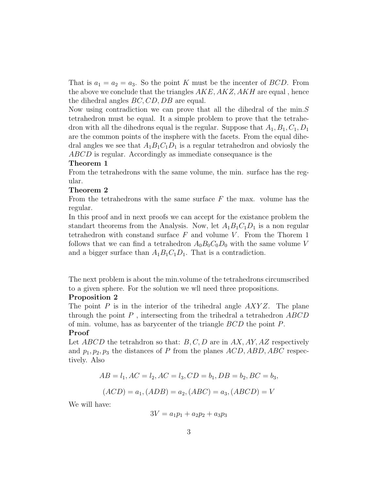That is  $a_1 = a_2 = a_3$ . So the point K must be the incenter of BCD. From the above we conclude that the triangles  $AKE, AKZ, AKH$  are equal, hence the dihedral angles BC, CD, DB are equal.

Now using contradiction we can prove that all the dihedral of the min.  $S$ tetrahedron must be equal. It a simple problem to prove that the tetrahedron with all the dihedrons equal is the regular. Suppose that  $A_1, B_1, C_1, D_1$ are the common points of the insphere with the facets. From the equal dihedral angles we see that  $A_1B_1C_1D_1$  is a regular tetrahedron and obviosly the ABCD is regular. Accordingly as immediate consequance is the

#### Theorem 1

From the tetrahedrons with the same volume, the min. surface has the regular.

#### Theorem 2

From the tetrahedrons with the same surface  $F$  the max. volume has the regular.

In this proof and in next proofs we can accept for the existance problem the standart theorems from the Analysis. Now, let  $A_1B_1C_1D_1$  is a non regular tetrahedron with constand surface  $F$  and volume  $V$ . From the Thorem 1 follows that we can find a tetrahedron  $A_0B_0C_0D_0$  with the same volume V and a bigger surface than  $A_1B_1C_1D_1$ . That is a contradiction.

The next problem is about the min.volume of the tetrahedrons circumscribed to a given sphere. For the solution we wll need three propositions.

#### Proposition 2

The point  $P$  is in the interior of the trihedral angle  $AXYZ$ . The plane through the point  $P$ , intersecting from the trihedral a tetrahedron  $ABCD$ of min. volume, has as barycenter of the triangle BCD the point P.

#### Proof

Let  $ABCD$  the tetrahdron so that:  $B, C, D$  are in AX, AY, AZ respectively and  $p_1, p_2, p_3$  the distances of P from the planes  $ACD$ ,  $ABD$ ,  $ABC$  respectively. Also

$$
AB = l_1, AC = l_2, AC = l_3, CD = b_1, DB = b_2, BC = b_3,
$$
  
 $(ACD) = a_1, (ADB) = a_2, (ABC) = a_3, (ABCD) = V$ 

We will have:

$$
3V = a_1p_1 + a_2p_2 + a_3p_3
$$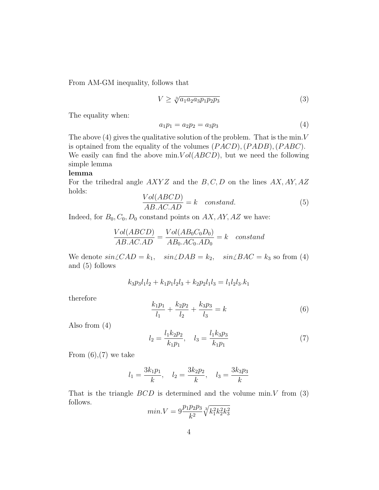From AM-GM inequality, follows that

$$
V \ge \sqrt[3]{a_1 a_2 a_3 p_1 p_2 p_3} \tag{3}
$$

The equality when:

$$
a_1 p_1 = a_2 p_2 = a_3 p_3 \tag{4}
$$

The above  $(4)$  gives the qualitative solution of the problem. That is the min. V is optained from the equality of the volumes  $(PACD)$ ,  $(PADB)$ ,  $(PABC)$ . We easily can find the above min.  $Vol(ABCD)$ , but we need the following simple lemma

### lemma

For the trihedral angle  $AXYZ$  and the  $B, C, D$  on the lines  $AX, AY, AZ$ holds:

$$
\frac{Vol(ABCD)}{AB.ACAD} = k \quad constant.
$$
\n(5)

Indeed, for  $B_0$ ,  $C_0$ ,  $D_0$  constand points on  $AX$ ,  $AY$ ,  $AZ$  we have:

$$
\frac{Vol(ABCD)}{AB.AC.AD} = \frac{Vol(AB_0C_0D_0)}{AB_0.AC_0.AD_0} = k \quad constant
$$

We denote  $sin\angle CAD = k_1$ ,  $sin\angle DAB = k_2$ ,  $sin\angle BAC = k_3$  so from (4) and (5) follows

$$
k_3 p_3 l_1 l_2 + k_1 p_1 l_2 l_3 + k_2 p_2 l_1 l_3 = l_1 l_2 l_3.k_1
$$

therefore

$$
\frac{k_1 p_1}{l_1} + \frac{k_2 p_2}{l_2} + \frac{k_3 p_3}{l_3} = k \tag{6}
$$

Also from (4)

$$
l_2 = \frac{l_1 k_2 p_2}{k_1 p_1}, \quad l_3 = \frac{l_1 k_3 p_3}{k_1 p_1} \tag{7}
$$

From  $(6)$ ,  $(7)$  we take

$$
l_1 = \frac{3k_1p_1}{k}, \quad l_2 = \frac{3k_2p_2}{k}, \quad l_3 = \frac{3k_3p_3}{k}
$$

That is the triangle  $BCD$  is determined and the volume min. V from (3) follows.

$$
min.V = 9 \frac{p_1 p_2 p_3}{k^2} \sqrt[3]{k_1^2 k_2^2 k_3^2}
$$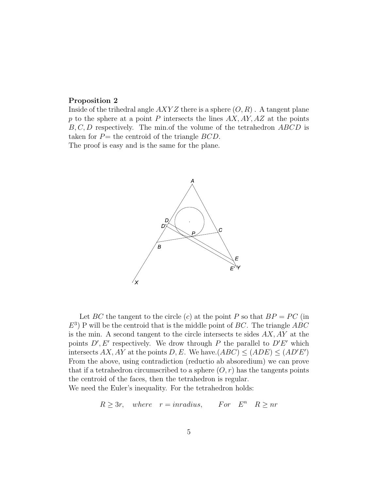#### Proposition 2

Inside of the trihedral angle  $AXYZ$  there is a sphere  $(O, R)$ . A tangent plane p to the sphere at a point P intersects the lines  $AX, AY, AZ$  at the points  $B, C, D$  respectively. The min. of the volume of the tetrahedron  $ABCD$  is taken for  $P=$  the centroid of the triangle  $BCD$ .

The proof is easy and is the same for the plane.



Let BC the tangent to the circle (c) at the point P so that  $BP = PC$  (in  $E^3$ ) P will be the centroid that is the middle point of BC. The triangle ABC is the min. A second tangent to the circle intersects te sides  $AX$ ,  $AY$  at the points  $D', E'$  respectively. We drow through P the parallel to  $D'E'$  which intersects AX, AY at the points D, E. We have.  $(ABC) \leq (ADE) \leq (AD'E')$ From the above, using contradiction (reductio ab absoredium) we can prove that if a tetrahedron circumscribed to a sphere  $(O, r)$  has the tangents points the centroid of the faces, then the tetrahedron is regular. We need the Euler's inequality. For the tetrahedron holds:

$$
R \ge 3r
$$
, where  $r = inradius$ , For  $E^n$   $R \ge nr$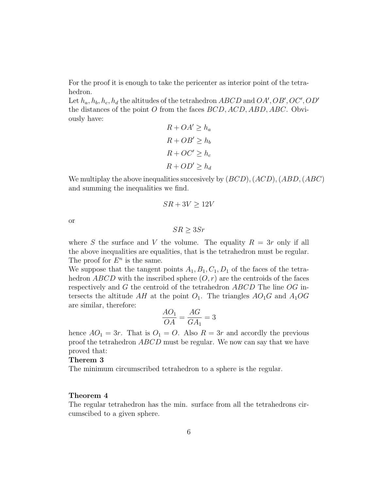For the proof it is enough to take the pericenter as interior point of the tetrahedron.

Let  $h_a, h_b, h_c, h_d$  the altitudes of the tetrahedron  $ABCD$  and  $OA', OB', OC', OD'$ the distances of the point O from the faces  $BCD, ACD, ABD, ABC$ . Obviously have:

$$
R + OA' \ge h_a
$$
  

$$
R + OB' \ge h_b
$$
  

$$
R + OC' \ge h_c
$$
  

$$
R + OD' \ge h_d
$$

We multiplay the above inequalities succesively by  $(BCD)$ ,  $(ACD)$ ,  $(ABD, (ABC)$ and summing the inequalities we find.

$$
SR + 3V \ge 12V
$$

or

 $SR > 3Sr$ 

where S the surface and V the volume. The equality  $R = 3r$  only if all the above inequalities are equalities, that is the tetrahedron must be regular. The proof for  $E^n$  is the same.

We suppose that the tangent points  $A_1, B_1, C_1, D_1$  of the faces of the tetrahedron ABCD with the inscribed sphere  $(O, r)$  are the centroids of the faces respectively and G the centroid of the tetrahedron ABCD The line OG intersects the altitude AH at the point  $O_1$ . The triangles  $AO_1G$  and  $A_1OG$ are similar, therefore:

$$
\frac{AO_1}{OA} = \frac{AG}{GA_1} = 3
$$

hence  $AO_1 = 3r$ . That is  $O_1 = O$ . Also  $R = 3r$  and accordly the previous proof the tetrahedron ABCD must be regular. We now can say that we have proved that:

#### Therem 3

The minimum circumscribed tetrahedron to a sphere is the regular.

#### Theorem 4

The regular tetrahedron has the min. surface from all the tetrahedrons circumscibed to a given sphere.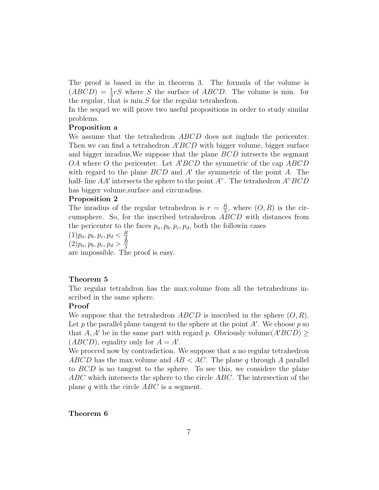The proof is based in the in theorem 3. The formula of the volume is  $(ABCD) = \frac{1}{3}rS$  where S the surface of ABCD. The volume is min. for the regular, that is  $\min S$  for the regular tetrahedron.

In the sequel we will prove two useful propositions in order to study similar problems.

#### Proposition a

We assume that the tetrahedron ABCD does not inglude the pericenter. Then we can find a tetrahedron  $A'BCD$  with bigger volume, bigger surface and bigger inradius.We suppose that the plane BCD intrsects the segmant OA where O the pericenter. Let  $A'BCD$  the symmetric of the cap  $ABCD$ with regard to the plane  $BCD$  and  $A'$  the symmetric of the point  $A$ . The half- line  $AA'$  intersects the sphere to the point  $A$ ". The tetrahedron  $A$ "  $BCD$ has bigger volume,surface and circuradius.

#### Proposition 2

The inradius of the regular tetrahedron is  $r = \frac{R}{3}$  $\frac{R}{3}$ , where  $(O, R)$  is the circumsphere. So, for the inscribed tetrahedron ABCD with distances from the pericenter to the faces  $p_a, p_b, p_c, p_d$ , both the followin cases

 $(1)p_a, p_b, p_c, p_d < \frac{R}{3}$  $\frac{(1)}{(2)}p_a, p_b, p_c, p_d > \frac{R}{3}$ 3 are impossible. The proof is easy.

# Theorem 5

The regular tetrahdron has the max.volume from all the tetrahedrons inscribed in the same sphere.

# Proof

We suppose that the tetrahedron  $ABCD$  is inscribed in the sphere  $(O, R)$ . Let  $p$  the parallel plane tangent to the sphere at the point  $A'$ . We choose  $p$  so that A, A' be in the same part with regard p. Obviously volume (A'BCD)  $\geq$  $(ABCD)$ , equality only for  $A = A'$ .

We procced now by contradiction. We suppose that a no regular tetrahedron ABCD has the max volume and  $AB < AC$ . The plane q through A parallel to BCD is no tangent to the sphere. To see this, we considere the plane ABC which intersects the sphere to the circle ABC. The intersection of the plane q with the circle  $ABC$  is a segment.

#### Theorem 6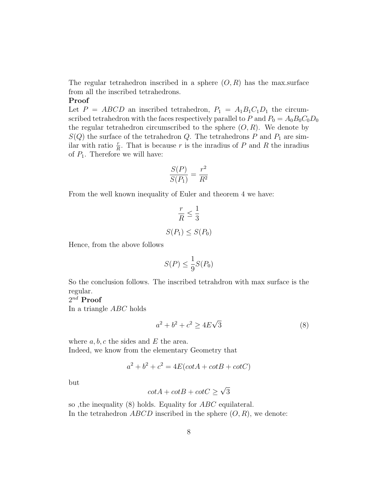The regular tetrahedron inscribed in a sphere  $(O, R)$  has the max.surface from all the inscribed tetrahedrons.

#### Proof

Let  $P = ABCD$  an inscribed tetrahedron,  $P_1 = A_1B_1C_1D_1$  the circumscribed tetrahedron with the faces respectively parallel to P and  $P_0 = A_0 B_0 C_0 D_0$ the regular tetrahedron circumscribed to the sphere  $(O, R)$ . We denote by  $S(Q)$  the surface of the tetrahedron Q. The tetrahedrons P and  $P_1$  are similar with ratio  $\frac{r}{R}$ . That is because r is the inradius of P and R the inradius of  $P_1$ . Therefore we will have:

$$
\frac{S(P)}{S(P_1)} = \frac{r^2}{R^2}
$$

From the well known inequality of Euler and theorem 4 we have:

$$
\frac{r}{R} \le \frac{1}{3}
$$
  

$$
S(P_1) \le S(P_0)
$$

Hence, from the above follows

$$
S(P) \le \frac{1}{9}S(P_0)
$$

So the conclusion follows. The inscribed tetrahdron with max surface is the regular.

# $2^{nd}$   $\bf Proof$

In a triangle ABC holds

$$
a^2 + b^2 + c^2 \ge 4E\sqrt{3}
$$
 (8)

where  $a, b, c$  the sides and E the area. Indeed, we know from the elementary Geometry that

$$
a^2 + b^2 + c^2 = 4E(cotA + cotB + cotC)
$$

but

$$
\cot A + \cot B + \cot C \ge \sqrt{3}
$$

so ,the inequality (8) holds. Equality for ABC equilateral. In the tetrahedron  $ABCD$  inscribed in the sphere  $(O, R)$ , we denote: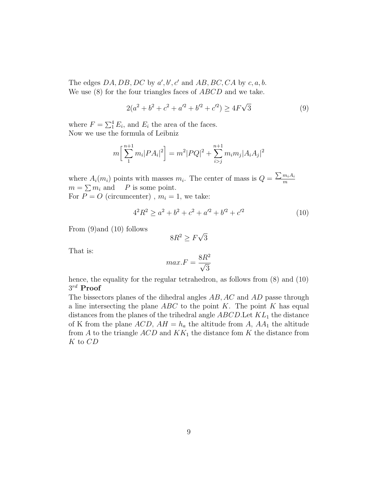The edges  $DA$ ,  $DB$ ,  $DC$  by  $a'$ ,  $b'$ ,  $c'$  and  $AB$ ,  $BC$ ,  $CA$  by  $c$ ,  $a$ ,  $b$ . We use  $(8)$  for the four triangles faces of ABCD and we take.

$$
2(a2 + b2 + c2 + a'2 + b'2 + c'2) \ge 4F\sqrt{3}
$$
 (9)

where  $F = \sum_{i=1}^{4} E_i$ , and  $E_i$  the area of the faces. Now we use the formula of Leibniz

$$
m\left[\sum_{1}^{n+1} m_i |PA_i|^2\right] = m^2 |PQ|^2 + \sum_{i>j}^{n+1} m_i m_j |A_i A_j|^2
$$

where  $A_i(m_i)$  points with masses  $m_i$ . The center of mass is  $Q = \frac{\sum m_i A_i}{m_i}$ m  $m = \sum m_i$  and P is some point. For  $P = O$  (circumcenter),  $m_i = 1$ , we take:

$$
42R2 \ge a2 + b2 + c2 + a'2 + b'2 + c'2
$$
 (10)

From (9)and (10) follows

$$
8R^2 \ge F\sqrt{3}
$$

That is:

$$
max.F = \frac{8R^2}{\sqrt{3}}
$$

hence, the equality for the regular tetrahedron, as follows from  $(8)$  and  $(10)$  $3^{rd}$  Proof

The bissectors planes of the dihedral angles AB, AC and AD passe through a line intersecting the plane  $ABC$  to the point K. The point K has equal distances from the planes of the trihedral angle  $ABCD$ . Let  $KL_1$  the distance of K from the plane  $ACD$ ,  $AH = h_a$  the altitude from A,  $AA_1$  the altitude from A to the triangle  $ACD$  and  $KK_1$  the distance fom K the distance from K to CD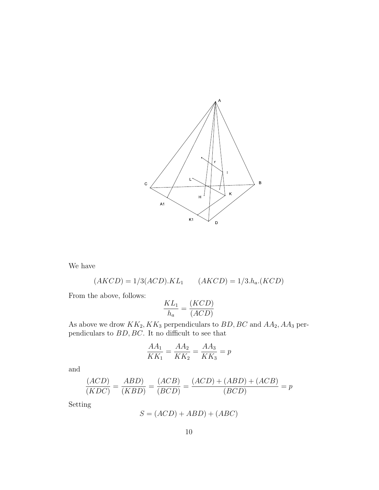

We have

$$
(AKCD) = 1/3(ACD).KL1 \qquad (AKCD) = 1/3.ha. (KCD)
$$

From the above, follows:

$$
\frac{KL_1}{h_a} = \frac{(KCD)}{(ACD)}
$$

As above we drow  $KK_2, KK_3$  perpendiculars to  $BD, BC$  and  $AA_2, AA_3$  perpendiculars to  $BD, BC$ . It no difficult to see that

$$
\frac{AA_1}{KK_1} = \frac{AA_2}{KK_2} = \frac{AA_3}{KK_3} = p
$$

and

$$
\frac{(ACD)}{(KDC)} = \frac{ABD)}{(KBD)} = \frac{(ACB)}{(BCD)} = \frac{(ACD) + (ABD) + (ACB)}{(BCD)} = p
$$

Setting

$$
S = (ACD) + ABD) + (ABC)
$$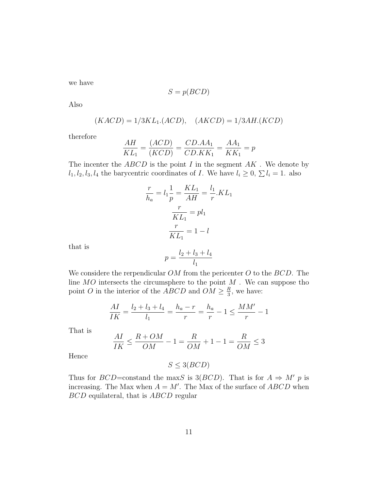we have

$$
S = p(BCD)
$$

Also

$$
(KACD) = 1/3KL_1.(ACD), \quad (AKCD) = 1/3AH.(KCD)
$$

therefore

$$
\frac{AH}{KL_1} = \frac{(ACD)}{(KCD)} = \frac{CD.AA_1}{CD.KK_1} = \frac{AA_1}{KK_1} = p
$$

The incenter the  $ABCD$  is the point I in the segment  $AK$ . We denote by  $l_1, l_2, l_3, l_4$  the barycentric coordinates of I. We have  $l_i \geq 0$ ,  $\sum l_i = 1$ . also

$$
\frac{r}{h_a} = l_1 \frac{1}{p} = \frac{KL_1}{AH} = \frac{l_1}{r} . KL_1
$$

$$
\frac{r}{KL_1} = pl_1
$$

$$
\frac{r}{KL_1} = 1 - l
$$

$$
l_2 + l_2 + l_4
$$

that is

$$
p = \frac{l_2 + l_3 + l_4}{l_1}
$$

We considere the rerpendicular  $OM$  from the pericenter  $O$  to the  $BCD$ . The line  $MO$  intersects the circumsphere to the point  $M$  . We can suppose tho point O in the interior of the ABCD and  $OM \geq \frac{R}{3}$  $\frac{R}{3}$ , we have:

$$
\frac{AI}{IK} = \frac{l_2 + l_3 + l_4}{l_1} = \frac{h_a - r}{r} = \frac{h_a}{r} - 1 \le \frac{MM'}{r} - 1
$$

That is

$$
\frac{AI}{IK} \le \frac{R+OM}{OM} - 1 = \frac{R}{OM} + 1 - 1 = \frac{R}{OM} \le 3
$$

Hence

 $S \leq 3(BCD)$ 

Thus for  $BCD=$ constand the maxS is 3( $BCD$ ). That is for  $A \Rightarrow M'$  p is increasing. The Max when  $A = M'$ . The Max of the surface of  $ABCD$  when BCD equilateral, that is ABCD regular